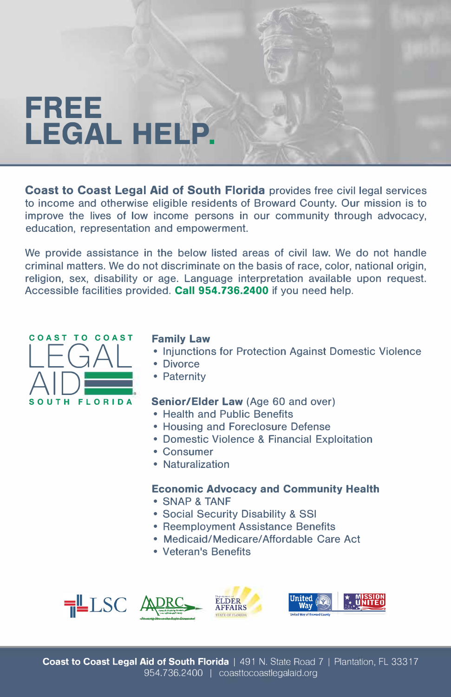# **FREE LEGAL HELP.**

**Coast to Coast Legal Aid of South Florida** provides free civil legal services to income and otherwise eligible residents of Broward County. Our mission is to improve the lives of low income persons in our community through advocacy, education, representation and empowerment.

We provide assistance in the below listed areas of civil law. We do not handle criminal matters. We do not discriminate on the basis of race, color, national origin, religion, sex, disability or age. Language interpretation available upon request. Accessible facilities provided. **Call 954.736.2400** if you need help.



# **Family Law**

- Injunctions for Protection Against Domestic Violence
- Divorce
- Paternity

# **Senior/Elder Law** (Age 60 and over)

- Health and Public Benefits
- Housing and Foreclosure Defense
- Domestic Violence & Financial Exploitation
- Consumer
- Naturalization

## **Economic Advocacy and Community Health**

- SNAP & TANF
- Social Security Disability & SSI
- Reemployment Assistance Benefits
- Medicaid/Medicare/Affordable Care Act
- Veteran's Benefits